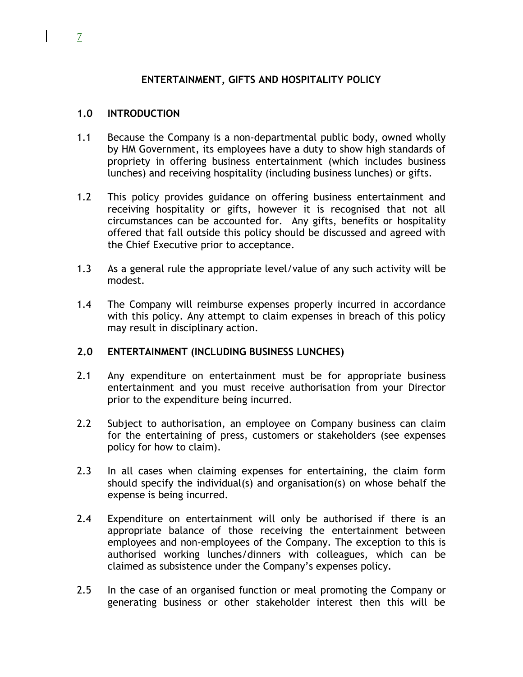## **ENTERTAINMENT, GIFTS AND HOSPITALITY POLICY**

## **1.0 INTRODUCTION**

- 1.1 Because the Company is a non-departmental public body, owned wholly by HM Government, its employees have a duty to show high standards of propriety in offering business entertainment (which includes business lunches) and receiving hospitality (including business lunches) or gifts.
- 1.2 This policy provides guidance on offering business entertainment and receiving hospitality or gifts, however it is recognised that not all circumstances can be accounted for. Any gifts, benefits or hospitality offered that fall outside this policy should be discussed and agreed with the Chief Executive prior to acceptance.
- 1.3 As a general rule the appropriate level/value of any such activity will be modest.
- 1.4 The Company will reimburse expenses properly incurred in accordance with this policy. Any attempt to claim expenses in breach of this policy may result in disciplinary action.

## **2.0 ENTERTAINMENT (INCLUDING BUSINESS LUNCHES)**

- 2.1 Any expenditure on entertainment must be for appropriate business entertainment and you must receive authorisation from your Director prior to the expenditure being incurred.
- 2.2 Subject to authorisation, an employee on Company business can claim for the entertaining of press, customers or stakeholders (see expenses policy for how to claim).
- 2.3 In all cases when claiming expenses for entertaining, the claim form should specify the individual(s) and organisation(s) on whose behalf the expense is being incurred.
- 2.4 Expenditure on entertainment will only be authorised if there is an appropriate balance of those receiving the entertainment between employees and non-employees of the Company. The exception to this is authorised working lunches/dinners with colleagues, which can be claimed as subsistence under the Company's expenses policy.
- 2.5 In the case of an organised function or meal promoting the Company or generating business or other stakeholder interest then this will be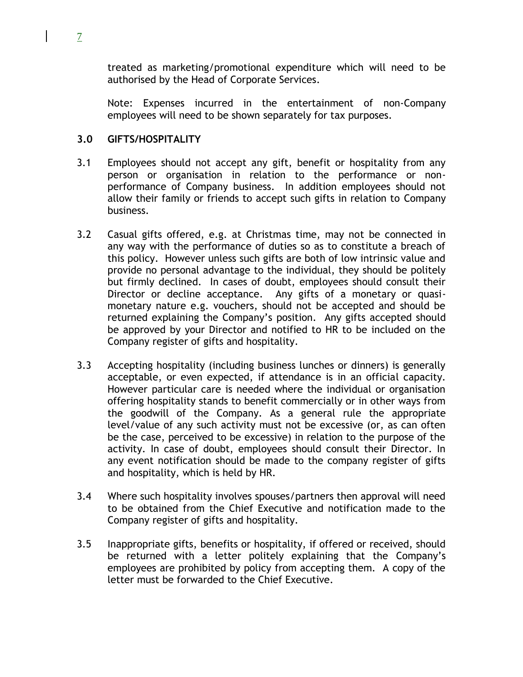treated as marketing/promotional expenditure which will need to be authorised by the Head of Corporate Services.

Note: Expenses incurred in the entertainment of non-Company employees will need to be shown separately for tax purposes.

## **3.0 GIFTS/HOSPITALITY**

- 3.1 Employees should not accept any gift, benefit or hospitality from any person or organisation in relation to the performance or nonperformance of Company business. In addition employees should not allow their family or friends to accept such gifts in relation to Company business.
- 3.2 Casual gifts offered, e.g. at Christmas time, may not be connected in any way with the performance of duties so as to constitute a breach of this policy. However unless such gifts are both of low intrinsic value and provide no personal advantage to the individual, they should be politely but firmly declined. In cases of doubt, employees should consult their Director or decline acceptance. Any gifts of a monetary or quasimonetary nature e.g. vouchers, should not be accepted and should be returned explaining the Company's position. Any gifts accepted should be approved by your Director and notified to HR to be included on the Company register of gifts and hospitality.
- 3.3 Accepting hospitality (including business lunches or dinners) is generally acceptable, or even expected, if attendance is in an official capacity. However particular care is needed where the individual or organisation offering hospitality stands to benefit commercially or in other ways from the goodwill of the Company. As a general rule the appropriate level/value of any such activity must not be excessive (or, as can often be the case, perceived to be excessive) in relation to the purpose of the activity. In case of doubt, employees should consult their Director. In any event notification should be made to the company register of gifts and hospitality, which is held by HR.
- 3.4 Where such hospitality involves spouses/partners then approval will need to be obtained from the Chief Executive and notification made to the Company register of gifts and hospitality.
- 3.5 Inappropriate gifts, benefits or hospitality, if offered or received, should be returned with a letter politely explaining that the Company's employees are prohibited by policy from accepting them. A copy of the letter must be forwarded to the Chief Executive.